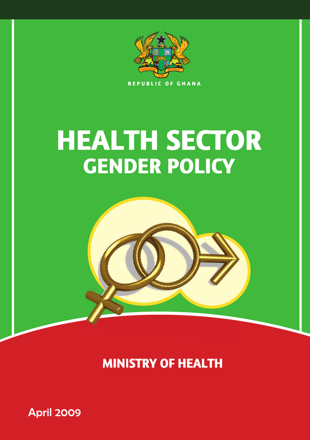

# **HEALTH SECTOR GENDER POLICY**



**MINISTRY OF HEALTH** 

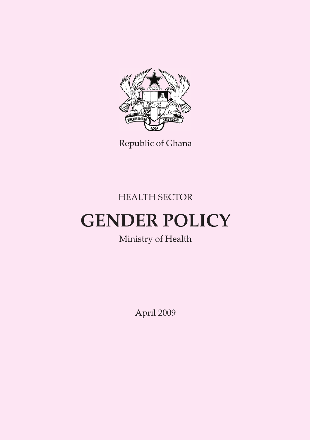

Republic of Ghana

HEALTH SECTOR

## **GENDER POLICY**

## Ministry of Health

April 2009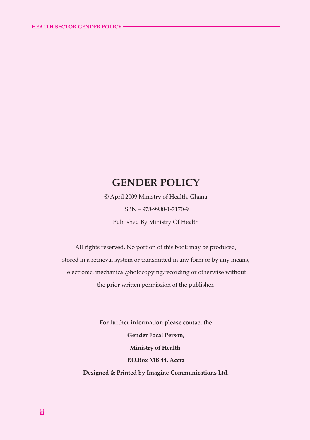#### **GENDER POLICY**

© April 2009 Ministry of Health, Ghana ISBN – 978-9988-1-2170-9 Published By Ministry Of Health

All rights reserved. No portion of this book may be produced, stored in a retrieval system or transmitted in any form or by any means, electronic, mechanical,photocopying,recording or otherwise without the prior written permission of the publisher.

> **For further information please contact the Gender Focal Person, Ministry of Health. P.O.Box MB 44, Accra Designed & Printed by Imagine Communications Ltd.**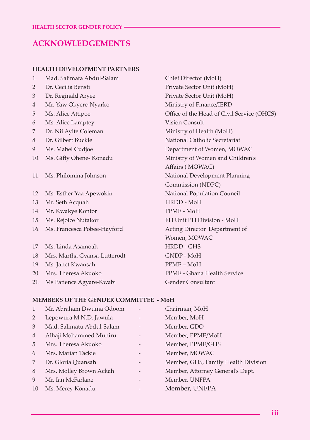#### **ACKNOWLEDGEMENTS**

#### **HEALTH DEVELOPMENT PARTNERS**

- 1. Mad. Salimata Abdul-Salam Chief Director (MoH)
- 
- 
- 4. Mr. Yaw Okyere-Nyarko Ministry of Finance/IERD
- 
- 6. Ms. Alice Lamptey Vision Consult
- 
- 
- 
- 
- 
- 12. Ms. Esther Yaa Apewokin National Population Council
- 13. Mr. Seth Acquah HRDD MoH
- 14. Mr. Kwakye Kontor PPME MoH
- 
- 16. Ms. Francesca Pobee-Hayford Acting Director Department of
- 17. Ms. Linda Asamoah **HRDD** GHS
- 18. Mrs. Martha Gyansa-Lutterodt GNDP MoH
- 19. Ms. Janet Kwansah PPME MoH
- 
- 21. Ms Patience Agyare-Kwabi Gender Consultant

2. Dr. Cecilia Bensti Private Sector Unit (MoH) 3. Dr. Reginald Aryee Private Sector Unit (MoH) 5. Ms. Alice Attipoe **Office of the Head of Civil Service (OHCS)** 7. Dr. Nii Ayite Coleman Ministry of Health (MoH) 8. Dr. Gilbert Buckle National Catholic Secretariat 9. Ms. Mabel Cudjoe Department of Women, MOWAC 10. Ms. Gifty Ohene- Konadu Ministry of Women and Children's Affairs ( MOWAC) 11. Ms. Philomina Johnson National Development Planning Commission (NDPC) 15. Ms. Rejoice Nutakor FH Unit PH Division - MoH Women, MOWAC 20. Mrs. Theresa Akuoko PPME - Ghana Health Service

#### **MEMBERS OF THE GENDER COMMITTEE - MoH**

| $\mathbf{1}$ . | Mr. Abraham Dwuma Odoom   |                   | Chairman, MoH                       |
|----------------|---------------------------|-------------------|-------------------------------------|
| 2.             | Lepowura M.N.D. Jawula    |                   | Member, MoH                         |
| 3.             | Mad. Salimatu Abdul-Salam |                   | Member, GDO                         |
| 4.             | Alhaji Mohammed Muniru    | $\qquad \qquad -$ | Member, PPME/MoH                    |
| 5.             | Mrs. Theresa Akuoko       | -                 | Member, PPME/GHS                    |
| 6.             | Mrs. Marian Tackie        |                   | Member, MOWAC                       |
| 7.             | Dr. Gloria Quansah        | -                 | Member, GHS, Family Health Division |
| 8.             | Mrs. Molley Brown Ackah   | -                 | Member, Attorney General's Dept.    |
| 9.             | Mr. Ian McFarlane         |                   | Member, UNFPA                       |
| 10.            | Ms. Mercy Konadu          |                   | Member, UNFPA                       |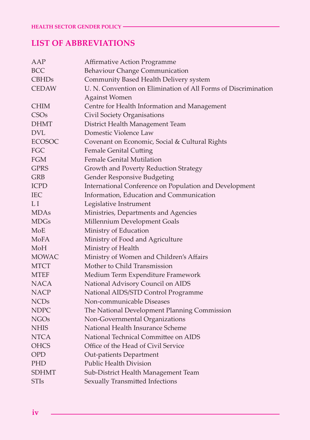#### **LIST OF ABBREVIATIONS**

| AAP              | Affirmative Action Programme                                   |
|------------------|----------------------------------------------------------------|
| <b>BCC</b>       | Behaviour Change Communication                                 |
| <b>CBHDs</b>     | Community Based Health Delivery system                         |
| <b>CEDAW</b>     | U. N. Convention on Elimination of All Forms of Discrimination |
|                  | <b>Against Women</b>                                           |
| <b>CHIM</b>      | Centre for Health Information and Management                   |
| CSO <sub>s</sub> | Civil Society Organisations                                    |
| <b>DHMT</b>      | District Health Management Team                                |
| <b>DVL</b>       | Domestic Violence Law                                          |
| <b>ECOSOC</b>    | Covenant on Economic, Social & Cultural Rights                 |
| FGC              | <b>Female Genital Cutting</b>                                  |
| FGM              | <b>Female Genital Mutilation</b>                               |
| <b>GPRS</b>      | Growth and Poverty Reduction Strategy                          |
| <b>GRB</b>       | Gender Responsive Budgeting                                    |
| <b>ICPD</b>      | International Conference on Population and Development         |
| <b>IEC</b>       | Information, Education and Communication                       |
| LI               | Legislative Instrument                                         |
| <b>MDAs</b>      | Ministries, Departments and Agencies                           |
| <b>MDGs</b>      | Millennium Development Goals                                   |
| MoE              | Ministry of Education                                          |
| MoFA             | Ministry of Food and Agriculture                               |
| MoH              | Ministry of Health                                             |
| MOWAC            | Ministry of Women and Children's Affairs                       |
| MTCT             | Mother to Child Transmission                                   |
| <b>MTEF</b>      | Medium Term Expenditure Framework                              |
| <b>NACA</b>      | National Advisory Council on AIDS                              |
| NACP             | National AIDS/STD Control Programme                            |
| NCD <sub>s</sub> | Non-communicable Diseases                                      |
| <b>NDPC</b>      | The National Development Planning Commission                   |
| <b>NGOs</b>      | Non-Governmental Organizations                                 |
| <b>NHIS</b>      | National Health Insurance Scheme                               |
| NTCA             | National Technical Committee on AIDS                           |
| <b>OHCS</b>      | Office of the Head of Civil Service                            |
| <b>OPD</b>       | Out-patients Department                                        |
| <b>PHD</b>       | <b>Public Health Division</b>                                  |
| <b>SDHMT</b>     | Sub-District Health Management Team                            |
| <b>STIs</b>      | Sexually Transmitted Infections                                |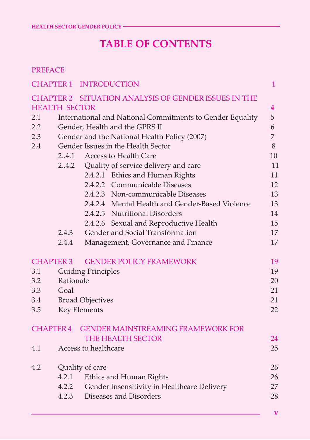## **TABLE OF CONTENTS**

#### PREFACE

|                      |                                                           | <b>CHAPTER 1 INTRODUCTION</b>                        | $\mathbf{1}$            |  |  |  |
|----------------------|-----------------------------------------------------------|------------------------------------------------------|-------------------------|--|--|--|
|                      |                                                           | CHAPTER 2 SITUATION ANALYSIS OF GENDER ISSUES IN THE |                         |  |  |  |
| <b>HEALTH SECTOR</b> |                                                           |                                                      | $\overline{\mathbf{4}}$ |  |  |  |
| 2.1                  | International and National Commitments to Gender Equality |                                                      |                         |  |  |  |
| 2.2                  |                                                           | Gender, Health and the GPRS II                       |                         |  |  |  |
| 2.3                  | Gender and the National Health Policy (2007)              |                                                      |                         |  |  |  |
| 2.4                  | Gender Issues in the Health Sector                        |                                                      |                         |  |  |  |
|                      | 2.4.1<br>Access to Health Care                            |                                                      |                         |  |  |  |
|                      | 2.4.2                                                     | Quality of service delivery and care                 | 11                      |  |  |  |
|                      |                                                           | 2.4.2.1 Ethics and Human Rights                      | 11                      |  |  |  |
|                      |                                                           | 2.4.2.2 Communicable Diseases                        | 12                      |  |  |  |
|                      |                                                           | 2.4.2.3 Non-communicable Diseases                    | 13                      |  |  |  |
|                      |                                                           | 2.4.2.4 Mental Health and Gender-Based Violence      | 13                      |  |  |  |
|                      |                                                           | 2.4.2.5 Nutritional Disorders                        | 14                      |  |  |  |
|                      |                                                           | 2.4.2.6 Sexual and Reproductive Health               | 15                      |  |  |  |
|                      | 2.4.3                                                     | Gender and Social Transformation                     | 17                      |  |  |  |
|                      | 2.4.4                                                     | Management, Governance and Finance                   | 17                      |  |  |  |
| <b>CHAPTER 3</b>     |                                                           | <b>GENDER POLICY FRAMEWORK</b>                       | 19                      |  |  |  |
| 3.1                  |                                                           | <b>Guiding Principles</b>                            | 19                      |  |  |  |
| 3.2                  | Rationale                                                 |                                                      | 20                      |  |  |  |
| 3.3                  | Goal                                                      |                                                      | 21                      |  |  |  |
| 3.4                  | <b>Broad Objectives</b>                                   |                                                      | 21                      |  |  |  |
| 3.5                  | Key Elements<br>22                                        |                                                      |                         |  |  |  |
| <b>CHAPTER 4</b>     |                                                           | <b>GENDER MAINSTREAMING FRAMEWORK FOR</b>            |                         |  |  |  |
|                      |                                                           | THE HEALTH SECTOR                                    | 24                      |  |  |  |
| 4.1                  |                                                           | Access to healthcare                                 | 25                      |  |  |  |
| 4.2                  |                                                           | Quality of care                                      | 26                      |  |  |  |
|                      | 4.2.1                                                     | Ethics and Human Rights                              | 26                      |  |  |  |
|                      | 4.2.2                                                     | Gender Insensitivity in Healthcare Delivery          | 27                      |  |  |  |
|                      | 4.2.3                                                     | Diseases and Disorders                               | 28                      |  |  |  |
|                      |                                                           |                                                      |                         |  |  |  |

**v**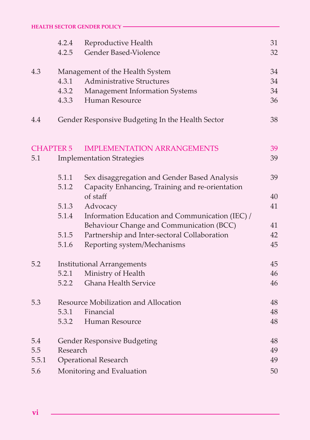|                  | 4.2.4<br>4.2.5                       | Reproductive Health<br>Gender Based-Violence     | 31<br>32 |
|------------------|--------------------------------------|--------------------------------------------------|----------|
| 4.3              | Management of the Health System      |                                                  | 34       |
|                  | 4.3.1                                | <b>Administrative Structures</b>                 | 34       |
|                  | 4.3.2                                | Management Information Systems                   | 34       |
|                  | 4.3.3                                | Human Resource                                   | 36       |
| 4.4              |                                      | Gender Responsive Budgeting In the Health Sector | 38       |
| <b>CHAPTER 5</b> |                                      | <b>IMPLEMENTATION ARRANGEMENTS</b>               | 39       |
| 5.1              |                                      | <b>Implementation Strategies</b>                 | 39       |
|                  | 5.1.1                                | Sex disaggregation and Gender Based Analysis     | 39       |
|                  | 5.1.2                                | Capacity Enhancing, Training and re-orientation  |          |
|                  |                                      | of staff                                         | 40       |
|                  | 5.1.3                                | Advocacy                                         | 41       |
|                  | 5.1.4                                | Information Education and Communication (IEC) /  |          |
|                  |                                      | Behaviour Change and Communication (BCC)         | 41       |
|                  | 5.1.5                                | Partnership and Inter-sectoral Collaboration     | 42       |
|                  | 5.1.6                                | Reporting system/Mechanisms                      | 45       |
| 5.2              | <b>Institutional Arrangements</b>    |                                                  | 45       |
|                  | 5.2.1                                | Ministry of Health                               | 46       |
|                  | 5.2.2                                | Ghana Health Service                             | 46       |
| 5.3              | Resource Mobilization and Allocation |                                                  | 48       |
|                  | 5.3.1                                | Financial                                        | 48       |
|                  | 5.3.2                                | Human Resource                                   | 48       |
| 5.4              |                                      | Gender Responsive Budgeting                      | 48       |
| 5.5              | Research                             |                                                  |          |
| 5.5.1            | <b>Operational Research</b>          |                                                  |          |
| 5.6              | Monitoring and Evaluation            |                                                  | 50       |

**vi**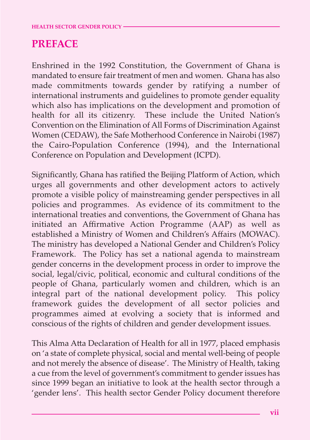### **PREFACE**

Enshrined in the 1992 Constitution, the Government of Ghana is mandated to ensure fair treatment of men and women. Ghana has also made commitments towards gender by ratifying a number of international instruments and guidelines to promote gender equality which also has implications on the development and promotion of health for all its citizenry. These include the United Nation's Convention on the Elimination of All Forms of Discrimination Against Women (CEDAW), the Safe Motherhood Conference in Nairobi (1987) the Cairo-Population Conference (1994), and the International Conference on Population and Development (ICPD).

Significantly, Ghana has ratified the Beijing Platform of Action, which urges all governments and other development actors to actively promote a visible policy of mainstreaming gender perspectives in all policies and programmes. As evidence of its commitment to the international treaties and conventions, the Government of Ghana has initiated an Affirmative Action Programme (AAP) as well as established a Ministry of Women and Children's Affairs (MOWAC). The ministry has developed a National Gender and Children's Policy Framework. The Policy has set a national agenda to mainstream gender concerns in the development process in order to improve the social, legal/civic, political, economic and cultural conditions of the people of Ghana, particularly women and children, which is an integral part of the national development policy. This policy framework guides the development of all sector policies and programmes aimed at evolving a society that is informed and conscious of the rights of children and gender development issues.

This Alma Atta Declaration of Health for all in 1977, placed emphasis on 'a state of complete physical, social and mental well-being of people and not merely the absence of disease'. The Ministry of Health, taking a cue from the level of government's commitment to gender issues has since 1999 began an initiative to look at the health sector through a 'gender lens'. This health sector Gender Policy document therefore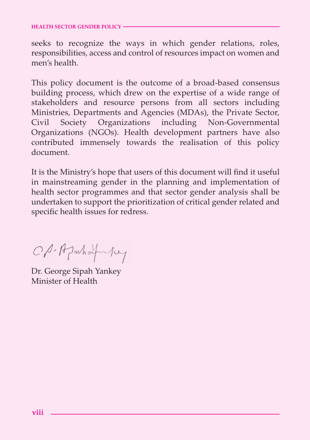seeks to recognize the ways in which gender relations, roles, responsibilities, access and control of resources impact on women and men's health.

This policy document is the outcome of a broad-based consensus building process, which drew on the expertise of a wide range of stakeholders and resource persons from all sectors including Ministries, Departments and Agencies (MDAs), the Private Sector, Civil Society Organizations including Non-Governmental Organizations (NGOs). Health development partners have also contributed immensely towards the realisation of this policy document.

It is the Ministry's hope that users of this document will find it useful in mainstreaming gender in the planning and implementation of health sector programmes and that sector gender analysis shall be undertaken to support the prioritization of critical gender related and specific health issues for redress.

OP-AJahafuluy

Dr. George Sipah Yankey Minister of Health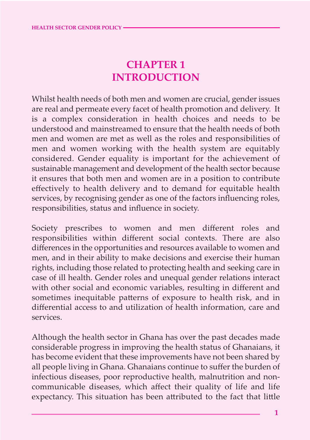## **CHAPTER 1 INTRODUCTION**

Whilst health needs of both men and women are crucial, gender issues are real and permeate every facet of health promotion and delivery. It is a complex consideration in health choices and needs to be understood and mainstreamed to ensure that the health needs of both men and women are met as well as the roles and responsibilities of men and women working with the health system are equitably considered. Gender equality is important for the achievement of sustainable management and development of the health sector because it ensures that both men and women are in a position to contribute effectively to health delivery and to demand for equitable health services, by recognising gender as one of the factors influencing roles, responsibilities, status and influence in society.

Society prescribes to women and men different roles and responsibilities within different social contexts. There are also differences in the opportunities and resources available to women and men, and in their ability to make decisions and exercise their human rights, including those related to protecting health and seeking care in case of ill health. Gender roles and unequal gender relations interact with other social and economic variables, resulting in different and sometimes inequitable patterns of exposure to health risk, and in differential access to and utilization of health information, care and services.

Although the health sector in Ghana has over the past decades made considerable progress in improving the health status of Ghanaians, it has become evident that these improvements have not been shared by all people living in Ghana. Ghanaians continue to suffer the burden of infectious diseases, poor reproductive health, malnutrition and noncommunicable diseases, which affect their quality of life and life expectancy. This situation has been attributed to the fact that little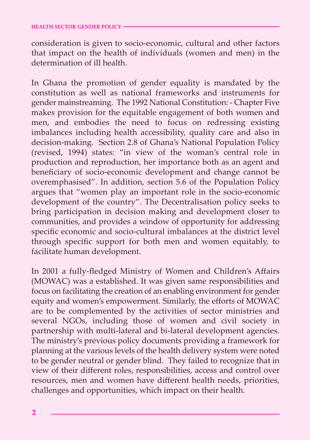consideration is given to socio-economic, cultural and other factors that impact on the health of individuals (women and men) in the determination of ill health.

In Ghana the promotion of gender equality is mandated by the constitution as well as national frameworks and instruments for gender mainstreaming. The 1992 National Constitution: - Chapter Five makes provision for the equitable engagement of both women and men, and embodies the need to focus on redressing existing imbalances including health accessibility, quality care and also in decision-making. Section 2.8 of Ghana's National Population Policy (revised, 1994) states: "in view of the woman's central role in production and reproduction, her importance both as an agent and beneficiary of socio-economic development and change cannot be overemphasised". In addition, section 5.6 of the Population Policy argues that "women play an important role in the socio-economic development of the country". The Decentralisation policy seeks to bring participation in decision making and development closer to communities, and provides a window of opportunity for addressing specific economic and socio-cultural imbalances at the district level through specific support for both men and women equitably, to facilitate human development.

In 2001 a fully-fledged Ministry of Women and Children's Affairs (MOWAC) was a established. It was given same responsibilities and focus on facilitating the creation of an enabling environment for gender equity and women's empowerment. Similarly, the efforts of MOWAC are to be complemented by the activities of sector ministries and several NGOs, including those of women and civil society in partnership with multi-lateral and bi-lateral development agencies. The ministry's previous policy documents providing a framework for planning at the various levels of the health delivery system were noted to be gender neutral or gender blind. They failed to recognize that in view of their different roles, responsibilities, access and control over resources, men and women have different health needs, priorities, challenges and opportunities, which impact on their health.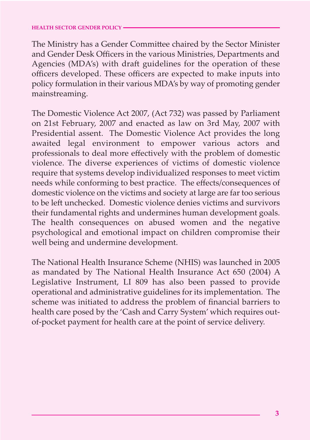The Ministry has a Gender Committee chaired by the Sector Minister and Gender Desk Officers in the various Ministries, Departments and Agencies (MDA's) with draft guidelines for the operation of these officers developed. These officers are expected to make inputs into policy formulation in their various MDA's by way of promoting gender mainstreaming.

The Domestic Violence Act 2007, (Act 732) was passed by Parliament on 21st February, 2007 and enacted as law on 3rd May, 2007 with Presidential assent. The Domestic Violence Act provides the long awaited legal environment to empower various actors and professionals to deal more effectively with the problem of domestic violence. The diverse experiences of victims of domestic violence require that systems develop individualized responses to meet victim needs while conforming to best practice. The effects/consequences of domestic violence on the victims and society at large are far too serious to be left unchecked. Domestic violence denies victims and survivors their fundamental rights and undermines human development goals. The health consequences on abused women and the negative psychological and emotional impact on children compromise their well being and undermine development.

The National Health Insurance Scheme (NHIS) was launched in 2005 as mandated by The National Health Insurance Act 650 (2004) A Legislative Instrument, LI 809 has also been passed to provide operational and administrative guidelines for its implementation. The scheme was initiated to address the problem of financial barriers to health care posed by the 'Cash and Carry System' which requires outof-pocket payment for health care at the point of service delivery.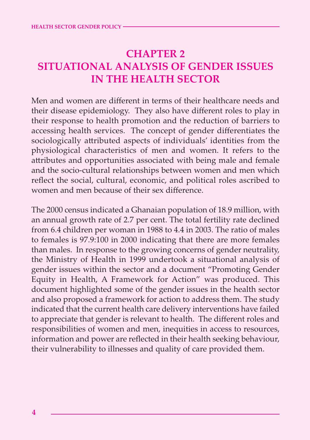## **CHAPTER 2 SITUATIONAL ANALYSIS OF GENDER ISSUES IN THE HEALTH SECTOR**

Men and women are different in terms of their healthcare needs and their disease epidemiology. They also have different roles to play in their response to health promotion and the reduction of barriers to accessing health services. The concept of gender differentiates the sociologically attributed aspects of individuals' identities from the physiological characteristics of men and women. It refers to the attributes and opportunities associated with being male and female and the socio-cultural relationships between women and men which reflect the social, cultural, economic, and political roles ascribed to women and men because of their sex difference.

The 2000 census indicated a Ghanaian population of 18.9 million, with an annual growth rate of 2.7 per cent. The total fertility rate declined from 6.4 children per woman in 1988 to 4.4 in 2003. The ratio of males to females is 97.9:100 in 2000 indicating that there are more females than males. In response to the growing concerns of gender neutrality, the Ministry of Health in 1999 undertook a situational analysis of gender issues within the sector and a document "Promoting Gender Equity in Health, A Framework for Action" was produced. This document highlighted some of the gender issues in the health sector and also proposed a framework for action to address them. The study indicated that the current health care delivery interventions have failed to appreciate that gender is relevant to health. The different roles and responsibilities of women and men, inequities in access to resources, information and power are reflected in their health seeking behaviour, their vulnerability to illnesses and quality of care provided them.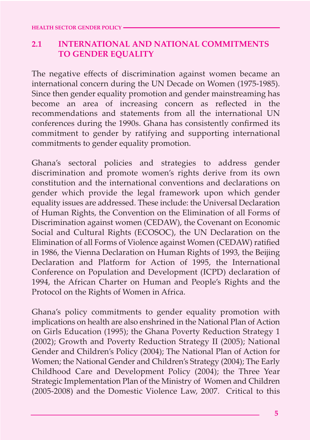#### **2.1 INTERNATIONAL AND NATIONAL COMMITMENTS TO GENDER EQUALITY**

The negative effects of discrimination against women became an international concern during the UN Decade on Women (1975-1985). Since then gender equality promotion and gender mainstreaming has become an area of increasing concern as reflected in the recommendations and statements from all the international UN conferences during the 1990s. Ghana has consistently confirmed its commitment to gender by ratifying and supporting international commitments to gender equality promotion.

Ghana's sectoral policies and strategies to address gender discrimination and promote women's rights derive from its own constitution and the international conventions and declarations on gender which provide the legal framework upon which gender equality issues are addressed. These include: the Universal Declaration of Human Rights, the Convention on the Elimination of all Forms of Discrimination against women (CEDAW), the Covenant on Economic Social and Cultural Rights (ECOSOC), the UN Declaration on the Elimination of all Forms of Violence against Women (CEDAW) ratified in 1986, the Vienna Declaration on Human Rights of 1993, the Beijing Declaration and Platform for Action of 1995, the International Conference on Population and Development (ICPD) declaration of 1994, the African Charter on Human and People's Rights and the Protocol on the Rights of Women in Africa.

Ghana's policy commitments to gender equality promotion with implications on health are also enshrined in the National Plan of Action on Girls Education (1995); the Ghana Poverty Reduction Strategy 1 (2002); Growth and Poverty Reduction Strategy II (2005); National Gender and Children's Policy (2004); The National Plan of Action for Women; the National Gender and Children's Strategy (2004); The Early Childhood Care and Development Policy (2004); the Three Year Strategic Implementation Plan of the Ministry of Women and Children (2005-2008) and the Domestic Violence Law, 2007. Critical to this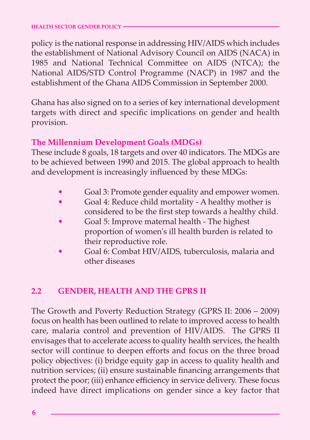policy is the national response in addressing HIV/AIDS which includes the establishment of National Advisory Council on AIDS (NACA) in 1985 and National Technical Committee on AIDS (NTCA); the National AIDS/STD Control Programme (NACP) in 1987 and the establishment of the Ghana AIDS Commission in September 2000.

Ghana has also signed on to a series of key international development targets with direct and specific implications on gender and health provision.

#### **The Millennium Development Goals (MDGs)**

These include 8 goals, 18 targets and over 40 indicators. The MDGs are to be achieved between 1990 and 2015. The global approach to health and development is increasingly influenced by these MDGs:

- Goal 3: Promote gender equality and empower women.
- Goal 4: Reduce child mortality A healthy mother is considered to be the first step towards a healthy child.
- Goal 5: Improve maternal health The highest proportion of women's ill health burden is related to their reproductive role.
- Goal 6: Combat HIV/AIDS, tuberculosis, malaria and other diseases

#### **2.2 GENDER, HEALTH AND THE GPRS II**

The Growth and Poverty Reduction Strategy (GPRS II: 2006 – 2009) focus on health has been outlined to relate to improved access to health care, malaria control and prevention of HIV/AIDS. The GPRS II envisages that to accelerate access to quality health services, the health sector will continue to deepen efforts and focus on the three broad policy objectives: (i) bridge equity gap in access to quality health and nutrition services; (ii) ensure sustainable financing arrangements that protect the poor; (iii) enhance efficiency in service delivery. These focus indeed have direct implications on gender since a key factor that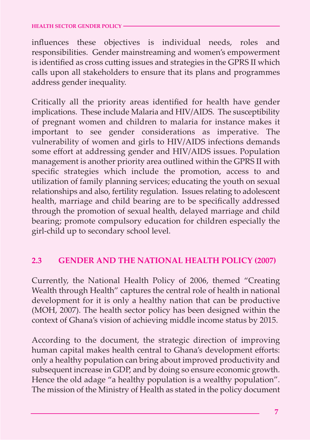influences these objectives is individual needs, roles and responsibilities. Gender mainstreaming and women's empowerment is identified as cross cutting issues and strategies in the GPRS II which calls upon all stakeholders to ensure that its plans and programmes address gender inequality.

Critically all the priority areas identified for health have gender implications. These include Malaria and HIV/AIDS. The susceptibility of pregnant women and children to malaria for instance makes it important to see gender considerations as imperative. The vulnerability of women and girls to HIV/AIDS infections demands some effort at addressing gender and HIV/AIDS issues. Population management is another priority area outlined within the GPRS II with specific strategies which include the promotion, access to and utilization of family planning services; educating the youth on sexual relationships and also, fertility regulation. Issues relating to adolescent health, marriage and child bearing are to be specifically addressed through the promotion of sexual health, delayed marriage and child bearing; promote compulsory education for children especially the girl-child up to secondary school level.

#### **2.3 GENDER AND THE NATIONAL HEALTH POLICY (2007)**

Currently, the National Health Policy of 2006, themed "Creating Wealth through Health" captures the central role of health in national development for it is only a healthy nation that can be productive (MOH, 2007). The health sector policy has been designed within the context of Ghana's vision of achieving middle income status by 2015.

According to the document, the strategic direction of improving human capital makes health central to Ghana's development efforts: only a healthy population can bring about improved productivity and subsequent increase in GDP, and by doing so ensure economic growth. Hence the old adage "a healthy population is a wealthy population". The mission of the Ministry of Health as stated in the policy document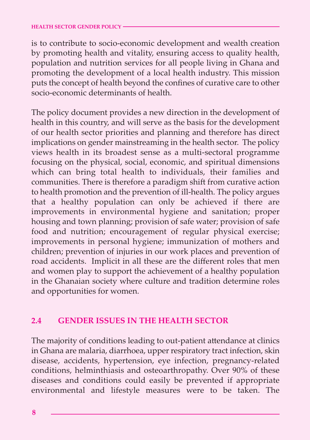is to contribute to socio-economic development and wealth creation by promoting health and vitality, ensuring access to quality health, population and nutrition services for all people living in Ghana and promoting the development of a local health industry. This mission puts the concept of health beyond the confines of curative care to other socio-economic determinants of health.

The policy document provides a new direction in the development of health in this country, and will serve as the basis for the development of our health sector priorities and planning and therefore has direct implications on gender mainstreaming in the health sector. The policy views health in its broadest sense as a multi-sectoral programme focusing on the physical, social, economic, and spiritual dimensions which can bring total health to individuals, their families and communities. There is therefore a paradigm shift from curative action to health promotion and the prevention of ill-health. The policy argues that a healthy population can only be achieved if there are improvements in environmental hygiene and sanitation; proper housing and town planning; provision of safe water; provision of safe food and nutrition; encouragement of regular physical exercise; improvements in personal hygiene; immunization of mothers and children; prevention of injuries in our work places and prevention of road accidents. Implicit in all these are the different roles that men and women play to support the achievement of a healthy population in the Ghanaian society where culture and tradition determine roles and opportunities for women.

#### **2.4 GENDER ISSUES IN THE HEALTH SECTOR**

The majority of conditions leading to out-patient attendance at clinics in Ghana are malaria, diarrhoea, upper respiratory tract infection, skin disease, accidents, hypertension, eye infection, pregnancy-related conditions, helminthiasis and osteoarthropathy. Over 90% of these diseases and conditions could easily be prevented if appropriate environmental and lifestyle measures were to be taken. The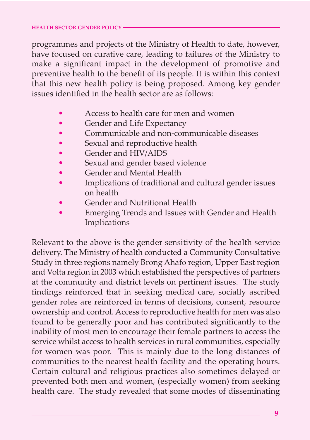programmes and projects of the Ministry of Health to date, however, have focused on curative care, leading to failures of the Ministry to make a significant impact in the development of promotive and preventive health to the benefit of its people. It is within this context that this new health policy is being proposed. Among key gender issues identified in the health sector are as follows:

- Access to health care for men and women
- Gender and Life Expectancy
- Communicable and non-communicable diseases
- Sexual and reproductive health
- Gender and HIV/AIDS
- Sexual and gender based violence
- Gender and Mental Health
- Implications of traditional and cultural gender issues on health
- Gender and Nutritional Health
- Emerging Trends and Issues with Gender and Health Implications

Relevant to the above is the gender sensitivity of the health service delivery. The Ministry of health conducted a Community Consultative Study in three regions namely Brong Ahafo region, Upper East region and Volta region in 2003 which established the perspectives of partners at the community and district levels on pertinent issues. The study findings reinforced that in seeking medical care, socially ascribed gender roles are reinforced in terms of decisions, consent, resource ownership and control. Access to reproductive health for men was also found to be generally poor and has contributed significantly to the inability of most men to encourage their female partners to access the service whilst access to health services in rural communities, especially for women was poor. This is mainly due to the long distances of communities to the nearest health facility and the operating hours. Certain cultural and religious practices also sometimes delayed or prevented both men and women, (especially women) from seeking health care. The study revealed that some modes of disseminating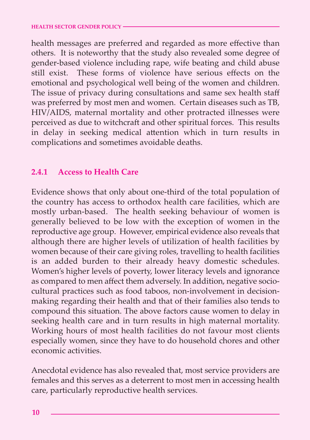health messages are preferred and regarded as more effective than others. It is noteworthy that the study also revealed some degree of gender-based violence including rape, wife beating and child abuse still exist. These forms of violence have serious effects on the emotional and psychological well being of the women and children. The issue of privacy during consultations and same sex health staff was preferred by most men and women. Certain diseases such as TB, HIV/AIDS, maternal mortality and other protracted illnesses were perceived as due to witchcraft and other spiritual forces. This results in delay in seeking medical attention which in turn results in complications and sometimes avoidable deaths.

#### **2.4.1 Access to Health Care**

Evidence shows that only about one-third of the total population of the country has access to orthodox health care facilities, which are mostly urban-based. The health seeking behaviour of women is generally believed to be low with the exception of women in the reproductive age group. However, empirical evidence also reveals that although there are higher levels of utilization of health facilities by women because of their care giving roles, travelling to health facilities is an added burden to their already heavy domestic schedules. Women's higher levels of poverty, lower literacy levels and ignorance as compared to men affect them adversely. In addition, negative sociocultural practices such as food taboos, non-involvement in decisionmaking regarding their health and that of their families also tends to compound this situation. The above factors cause women to delay in seeking health care and in turn results in high maternal mortality. Working hours of most health facilities do not favour most clients especially women, since they have to do household chores and other economic activities.

Anecdotal evidence has also revealed that, most service providers are females and this serves as a deterrent to most men in accessing health care, particularly reproductive health services.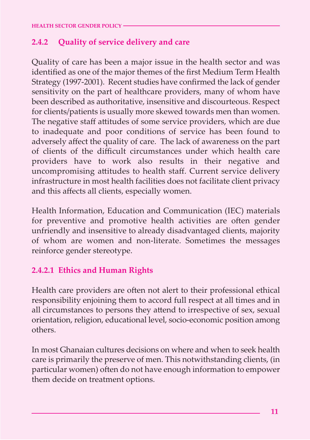#### **2.4.2 Quality of service delivery and care**

Quality of care has been a major issue in the health sector and was identified as one of the major themes of the first Medium Term Health Strategy (1997-2001). Recent studies have confirmed the lack of gender sensitivity on the part of healthcare providers, many of whom have been described as authoritative, insensitive and discourteous. Respect for clients/patients is usually more skewed towards men than women. The negative staff attitudes of some service providers, which are due to inadequate and poor conditions of service has been found to adversely affect the quality of care. The lack of awareness on the part of clients of the difficult circumstances under which health care providers have to work also results in their negative and uncompromising attitudes to health staff. Current service delivery infrastructure in most health facilities does not facilitate client privacy and this affects all clients, especially women.

Health Information, Education and Communication (IEC) materials for preventive and promotive health activities are often gender unfriendly and insensitive to already disadvantaged clients, majority of whom are women and non-literate. Sometimes the messages reinforce gender stereotype.

#### **2.4.2.1 Ethics and Human Rights**

Health care providers are often not alert to their professional ethical responsibility enjoining them to accord full respect at all times and in all circumstances to persons they attend to irrespective of sex, sexual orientation, religion, educational level, socio-economic position among others.

In most Ghanaian cultures decisions on where and when to seek health care is primarily the preserve of men. This notwithstanding clients, (in particular women) often do not have enough information to empower them decide on treatment options.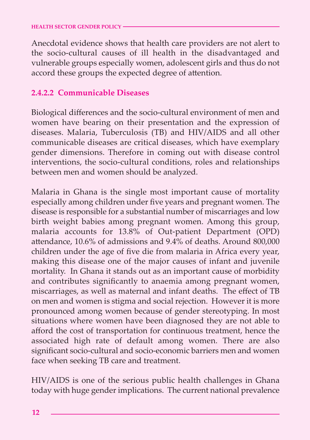Anecdotal evidence shows that health care providers are not alert to the socio-cultural causes of ill health in the disadvantaged and vulnerable groups especially women, adolescent girls and thus do not accord these groups the expected degree of attention.

#### **2.4.2.2 Communicable Diseases**

Biological differences and the socio-cultural environment of men and women have bearing on their presentation and the expression of diseases. Malaria, Tuberculosis (TB) and HIV/AIDS and all other communicable diseases are critical diseases, which have exemplary gender dimensions. Therefore in coming out with disease control interventions, the socio-cultural conditions, roles and relationships between men and women should be analyzed.

Malaria in Ghana is the single most important cause of mortality especially among children under five years and pregnant women. The disease is responsible for a substantial number of miscarriages and low birth weight babies among pregnant women. Among this group, malaria accounts for 13.8% of Out-patient Department (OPD) attendance,  $10.6\%$  of admissions and  $9.4\%$  of deaths. Around 800,000 children under the age of five die from malaria in Africa every year, making this disease one of the major causes of infant and juvenile mortality. In Ghana it stands out as an important cause of morbidity and contributes significantly to anaemia among pregnant women, miscarriages, as well as maternal and infant deaths. The effect of TB on men and women is stigma and social rejection. However it is more pronounced among women because of gender stereotyping. In most situations where women have been diagnosed they are not able to afford the cost of transportation for continuous treatment, hence the associated high rate of default among women. There are also significant socio-cultural and socio-economic barriers men and women face when seeking TB care and treatment.

HIV/AIDS is one of the serious public health challenges in Ghana today with huge gender implications. The current national prevalence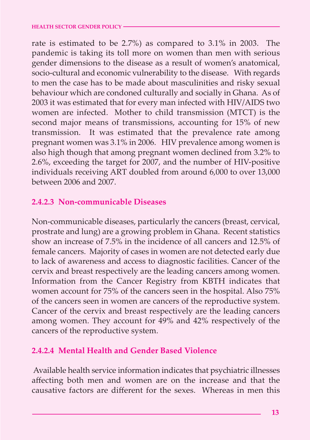rate is estimated to be 2.7%) as compared to 3.1% in 2003. The pandemic is taking its toll more on women than men with serious gender dimensions to the disease as a result of women's anatomical, socio-cultural and economic vulnerability to the disease. With regards to men the case has to be made about masculinities and risky sexual behaviour which are condoned culturally and socially in Ghana. As of 2003 it was estimated that for every man infected with HIV/AIDS two women are infected. Mother to child transmission (MTCT) is the second major means of transmissions, accounting for 15% of new transmission. It was estimated that the prevalence rate among pregnant women was 3.1% in 2006. HIV prevalence among women is also high though that among pregnant women declined from 3.2% to 2.6%, exceeding the target for 2007, and the number of HIV-positive individuals receiving ART doubled from around 6,000 to over 13,000 between 2006 and 2007.

#### **2.4.2.3 Non-communicable Diseases**

Non-communicable diseases, particularly the cancers (breast, cervical, prostrate and lung) are a growing problem in Ghana. Recent statistics show an increase of 7.5% in the incidence of all cancers and 12.5% of female cancers. Majority of cases in women are not detected early due to lack of awareness and access to diagnostic facilities. Cancer of the cervix and breast respectively are the leading cancers among women. Information from the Cancer Registry from KBTH indicates that women account for 75% of the cancers seen in the hospital. Also 75% of the cancers seen in women are cancers of the reproductive system. Cancer of the cervix and breast respectively are the leading cancers among women. They account for 49% and 42% respectively of the cancers of the reproductive system.

#### **2.4.2.4 Mental Health and Gender Based Violence**

Available health service information indicates that psychiatric illnesses affecting both men and women are on the increase and that the causative factors are different for the sexes. Whereas in men this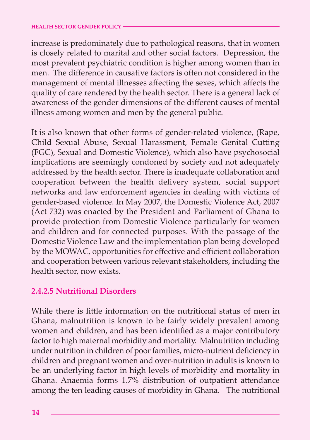increase is predominately due to pathological reasons, that in women is closely related to marital and other social factors. Depression, the most prevalent psychiatric condition is higher among women than in men. The difference in causative factors is often not considered in the management of mental illnesses affecting the sexes, which affects the quality of care rendered by the health sector. There is a general lack of awareness of the gender dimensions of the different causes of mental illness among women and men by the general public.

It is also known that other forms of gender-related violence, (Rape, Child Sexual Abuse, Sexual Harassment, Female Genital Cutting (FGC), Sexual and Domestic Violence), which also have psychosocial implications are seemingly condoned by society and not adequately addressed by the health sector. There is inadequate collaboration and cooperation between the health delivery system, social support networks and law enforcement agencies in dealing with victims of gender-based violence. In May 2007, the Domestic Violence Act, 2007 (Act 732) was enacted by the President and Parliament of Ghana to provide protection from Domestic Violence particularly for women and children and for connected purposes. With the passage of the Domestic Violence Law and the implementation plan being developed by the MOWAC, opportunities for effective and efficient collaboration and cooperation between various relevant stakeholders, including the health sector, now exists.

#### **2.4.2.5 Nutritional Disorders**

While there is little information on the nutritional status of men in Ghana, malnutrition is known to be fairly widely prevalent among women and children, and has been identified as a major contributory factor to high maternal morbidity and mortality. Malnutrition including under nutrition in children of poor families, micro-nutrient deficiency in children and pregnant women and over-nutrition in adults is known to be an underlying factor in high levels of morbidity and mortality in Ghana. Anaemia forms 1.7% distribution of outpatient attendance among the ten leading causes of morbidity in Ghana. The nutritional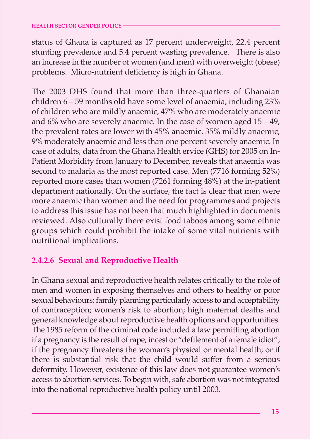status of Ghana is captured as 17 percent underweight, 22.4 percent stunting prevalence and 5.4 percent wasting prevalence. There is also an increase in the number of women (and men) with overweight (obese) problems. Micro-nutrient deficiency is high in Ghana.

The 2003 DHS found that more than three-quarters of Ghanaian children 6 – 59 months old have some level of anaemia, including 23% of children who are mildly anaemic, 47% who are moderately anaemic and 6% who are severely anaemic. In the case of women aged 15 – 49, the prevalent rates are lower with 45% anaemic, 35% mildly anaemic, 9% moderately anaemic and less than one percent severely anaemic. In case of adults, data from the Ghana Health ervice (GHS) for 2005 on In-Patient Morbidity from January to December, reveals that anaemia was second to malaria as the most reported case. Men (7716 forming 52%) reported more cases than women (7261 forming 48%) at the in-patient department nationally. On the surface, the fact is clear that men were more anaemic than women and the need for programmes and projects to address this issue has not been that much highlighted in documents reviewed. Also culturally there exist food taboos among some ethnic groups which could prohibit the intake of some vital nutrients with nutritional implications.

#### **2.4.2.6 Sexual and Reproductive Health**

In Ghana sexual and reproductive health relates critically to the role of men and women in exposing themselves and others to healthy or poor sexual behaviours; family planning particularly access to and acceptability of contraception; women's risk to abortion; high maternal deaths and general knowledge about reproductive health options and opportunities. The 1985 reform of the criminal code included a law permitting abortion if a pregnancy is the result of rape, incest or "defilement of a female idiot"; if the pregnancy threatens the woman's physical or mental health; or if there is substantial risk that the child would suffer from a serious deformity. However, existence of this law does not guarantee women's access to abortion services. To begin with, safe abortion was not integrated into the national reproductive health policy until 2003.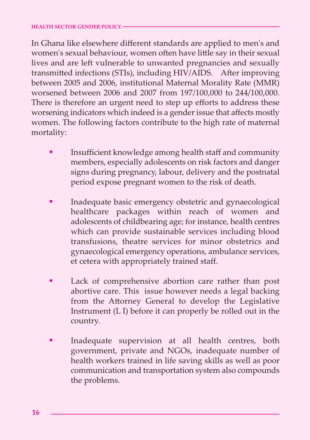In Ghana like elsewhere different standards are applied to men's and women's sexual behaviour, women often have little say in their sexual lives and are left vulnerable to unwanted pregnancies and sexually transmitted infections (STIs), including HIV/AIDS. After improving between 2005 and 2006, institutional Maternal Morality Rate (MMR) worsened between 2006 and 2007 from 197/100,000 to 244/100,000. There is therefore an urgent need to step up efforts to address these worsening indicators which indeed is a gender issue that affects mostly women. The following factors contribute to the high rate of maternal mortality:

- Insufficient knowledge among health staff and community members, especially adolescents on risk factors and danger signs during pregnancy, labour, delivery and the postnatal period expose pregnant women to the risk of death. •
- Inadequate basic emergency obstetric and gynaecological healthcare packages within reach of women and adolescents of childbearing age; for instance, health centres which can provide sustainable services including blood transfusions, theatre services for minor obstetrics and gynaecological emergency operations, ambulance services, et cetera with appropriately trained staff. •
- Lack of comprehensive abortion care rather than post abortive care. This issue however needs a legal backing from the Attorney General to develop the Legislative Instrument (L I) before it can properly be rolled out in the country. •
- Inadequate supervision at all health centres, both government, private and NGOs, inadequate number of health workers trained in life saving skills as well as poor communication and transportation system also compounds the problems. •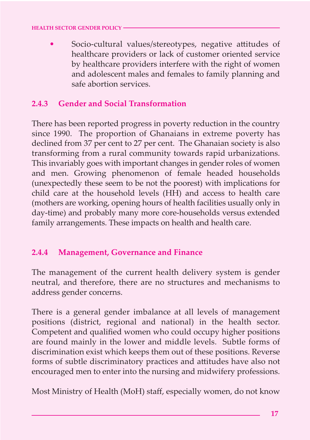Socio-cultural values/stereotypes, negative attitudes of healthcare providers or lack of customer oriented service by healthcare providers interfere with the right of women and adolescent males and females to family planning and safe abortion services. •

#### **2.4.3 Gender and Social Transformation**

There has been reported progress in poverty reduction in the country since 1990. The proportion of Ghanaians in extreme poverty has declined from 37 per cent to 27 per cent. The Ghanaian society is also transforming from a rural community towards rapid urbanizations. This invariably goes with important changes in gender roles of women and men. Growing phenomenon of female headed households (unexpectedly these seem to be not the poorest) with implications for child care at the household levels (HH) and access to health care (mothers are working, opening hours of health facilities usually only in day-time) and probably many more core-households versus extended family arrangements. These impacts on health and health care.

#### **2.4.4 Management, Governance and Finance**

The management of the current health delivery system is gender neutral, and therefore, there are no structures and mechanisms to address gender concerns.

There is a general gender imbalance at all levels of management positions (district, regional and national) in the health sector. Competent and qualified women who could occupy higher positions are found mainly in the lower and middle levels. Subtle forms of discrimination exist which keeps them out of these positions. Reverse forms of subtle discriminatory practices and attitudes have also not encouraged men to enter into the nursing and midwifery professions.

Most Ministry of Health (MoH) staff, especially women, do not know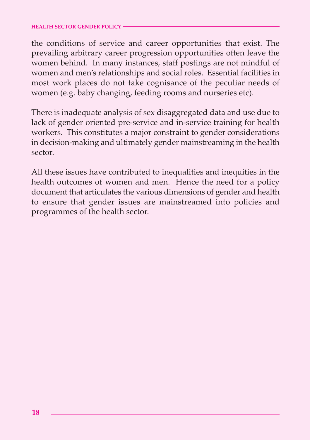the conditions of service and career opportunities that exist. The prevailing arbitrary career progression opportunities often leave the women behind. In many instances, staff postings are not mindful of women and men's relationships and social roles. Essential facilities in most work places do not take cognisance of the peculiar needs of women (e.g. baby changing, feeding rooms and nurseries etc).

There is inadequate analysis of sex disaggregated data and use due to lack of gender oriented pre-service and in-service training for health workers. This constitutes a major constraint to gender considerations in decision-making and ultimately gender mainstreaming in the health sector.

All these issues have contributed to inequalities and inequities in the health outcomes of women and men. Hence the need for a policy document that articulates the various dimensions of gender and health to ensure that gender issues are mainstreamed into policies and programmes of the health sector.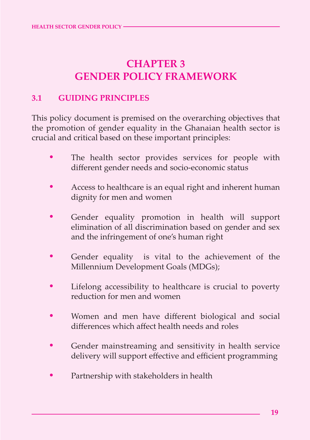## **CHAPTER 3 GENDER POLICY FRAMEWORK**

#### **3.1 GUIDING PRINCIPLES**

This policy document is premised on the overarching objectives that the promotion of gender equality in the Ghanaian health sector is crucial and critical based on these important principles:

- The health sector provides services for people with different gender needs and socio-economic status •
- Access to healthcare is an equal right and inherent human dignity for men and women •
- Gender equality promotion in health will support elimination of all discrimination based on gender and sex and the infringement of one's human right •
- Gender equality is vital to the achievement of the Millennium Development Goals (MDGs); •
- Lifelong accessibility to healthcare is crucial to poverty reduction for men and women •
- Women and men have different biological and social differences which affect health needs and roles •
- Gender mainstreaming and sensitivity in health service delivery will support effective and efficient programming •
- Partnership with stakeholders in health •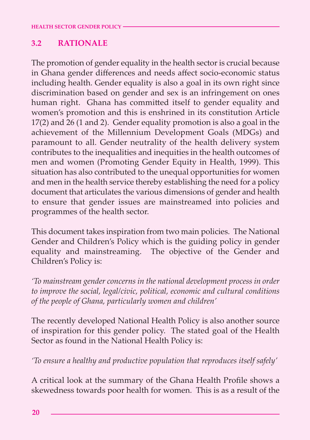#### **3.2 RATIONALE**

The promotion of gender equality in the health sector is crucial because in Ghana gender differences and needs affect socio-economic status including health. Gender equality is also a goal in its own right since discrimination based on gender and sex is an infringement on ones human right. Ghana has committed itself to gender equality and women's promotion and this is enshrined in its constitution Article 17(2) and 26 (1 and 2). Gender equality promotion is also a goal in the achievement of the Millennium Development Goals (MDGs) and paramount to all. Gender neutrality of the health delivery system contributes to the inequalities and inequities in the health outcomes of men and women (Promoting Gender Equity in Health, 1999). This situation has also contributed to the unequal opportunities for women and men in the health service thereby establishing the need for a policy document that articulates the various dimensions of gender and health to ensure that gender issues are mainstreamed into policies and programmes of the health sector.

This document takes inspiration from two main policies. The National Gender and Children's Policy which is the guiding policy in gender equality and mainstreaming. The objective of the Gender and Children's Policy is:

*'To mainstream gender concerns in the national development process in order to improve the social, legal/civic, political, economic and cultural conditions of the people of Ghana, particularly women and children'*

The recently developed National Health Policy is also another source of inspiration for this gender policy. The stated goal of the Health Sector as found in the National Health Policy is:

*'To ensure a healthy and productive population that reproduces itself safely'*

A critical look at the summary of the Ghana Health Profile shows a skewedness towards poor health for women. This is as a result of the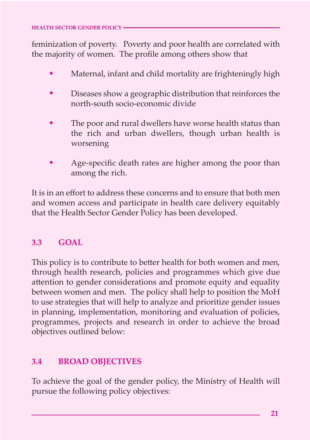feminization of poverty. Poverty and poor health are correlated with the majority of women. The profile among others show that

- Maternal, infant and child mortality are frighteningly high •
- Diseases show a geographic distribution that reinforces the north-south socio-economic divide •
- The poor and rural dwellers have worse health status than the rich and urban dwellers, though urban health is worsening •
- Age-specific death rates are higher among the poor than among the rich. •

It is in an effort to address these concerns and to ensure that both men and women access and participate in health care delivery equitably that the Health Sector Gender Policy has been developed.

#### **3.3 GOAL**

This policy is to contribute to better health for both women and men, through health research, policies and programmes which give due attention to gender considerations and promote equity and equality between women and men. The policy shall help to position the MoH to use strategies that will help to analyze and prioritize gender issues in planning, implementation, monitoring and evaluation of policies, programmes, projects and research in order to achieve the broad objectives outlined below:

#### **3.4 BROAD OBJECTIVES**

To achieve the goal of the gender policy, the Ministry of Health will pursue the following policy objectives: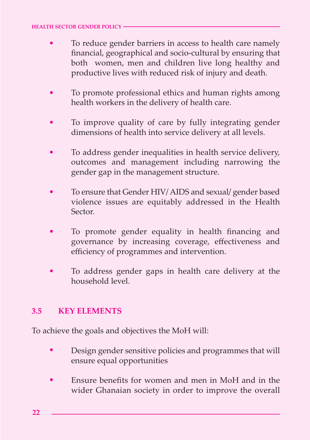- To reduce gender barriers in access to health care namely financial, geographical and socio-cultural by ensuring that both women, men and children live long healthy and productive lives with reduced risk of injury and death. •
- To promote professional ethics and human rights among health workers in the delivery of health care. •
- To improve quality of care by fully integrating gender dimensions of health into service delivery at all levels. •
- To address gender inequalities in health service delivery, outcomes and management including narrowing the gender gap in the management structure. •
- To ensure that Gender HIV/ AIDS and sexual/ gender based violence issues are equitably addressed in the Health Sector. •
- To promote gender equality in health financing and governance by increasing coverage, effectiveness and efficiency of programmes and intervention. •
- To address gender gaps in health care delivery at the household level. •

#### **3.5 KEY ELEMENTS**

To achieve the goals and objectives the MoH will:

- Design gender sensitive policies and programmes that will ensure equal opportunities •
- Ensure benefits for women and men in MoH and in the wider Ghanaian society in order to improve the overall •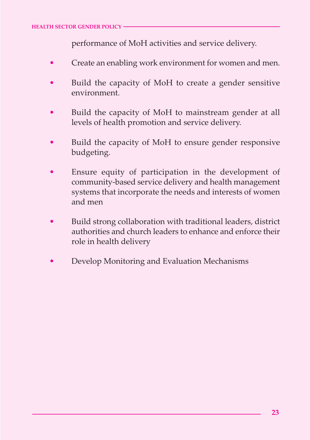performance of MoH activities and service delivery.

- Create an enabling work environment for women and men. •
- Build the capacity of MoH to create a gender sensitive environment. •
- Build the capacity of MoH to mainstream gender at all levels of health promotion and service delivery. •
- Build the capacity of MoH to ensure gender responsive budgeting. •
- Ensure equity of participation in the development of community-based service delivery and health management systems that incorporate the needs and interests of women and men •
- Build strong collaboration with traditional leaders, district authorities and church leaders to enhance and enforce their role in health delivery •
- Develop Monitoring and Evaluation Mechanisms •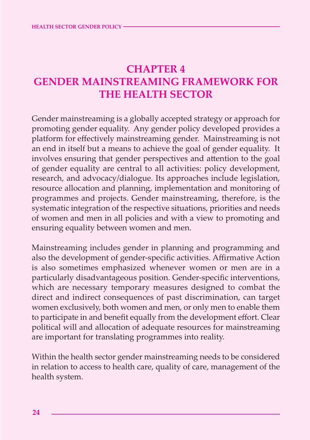## **CHAPTER 4 GENDER MAINSTREAMING FRAMEWORK FOR THE HEALTH SECTOR**

Gender mainstreaming is a globally accepted strategy or approach for promoting gender equality. Any gender policy developed provides a platform for effectively mainstreaming gender. Mainstreaming is not an end in itself but a means to achieve the goal of gender equality. It involves ensuring that gender perspectives and attention to the goal of gender equality are central to all activities: policy development, research, and advocacy/dialogue. Its approaches include legislation, resource allocation and planning, implementation and monitoring of programmes and projects. Gender mainstreaming, therefore, is the systematic integration of the respective situations, priorities and needs of women and men in all policies and with a view to promoting and ensuring equality between women and men.

Mainstreaming includes gender in planning and programming and also the development of gender-specific activities. Affirmative Action is also sometimes emphasized whenever women or men are in a particularly disadvantageous position. Gender-specific interventions, which are necessary temporary measures designed to combat the direct and indirect consequences of past discrimination, can target women exclusively, both women and men, or only men to enable them to participate in and benefit equally from the development effort. Clear political will and allocation of adequate resources for mainstreaming are important for translating programmes into reality.

Within the health sector gender mainstreaming needs to be considered in relation to access to health care, quality of care, management of the health system.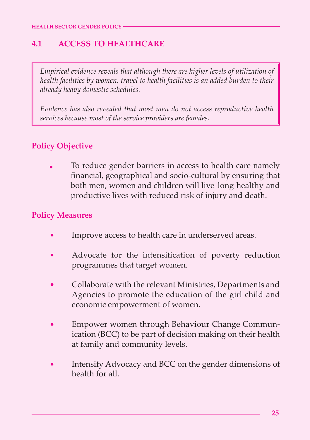#### **4.1 ACCESS TO HEALTHCARE**

*Empirical evidence reveals that although there are higher levels of utilization of health facilities by women, travel to health facilities is an added burden to their already heavy domestic schedules.* 

*Evidence has also revealed that most men do not access reproductive health services because most of the service providers are females.*

#### **Policy Objective**

To reduce gender barriers in access to health care namely financial, geographical and socio-cultural by ensuring that both men, women and children will live long healthy and productive lives with reduced risk of injury and death. •

#### **Policy Measures**

**34**

- Improve access to health care in underserved areas. •
- Advocate for the intensification of poverty reduction programmes that target women. •
- Collaborate with the relevant Ministries, Departments and Agencies to promote the education of the girl child and economic empowerment of women. •
- Empower women through Behaviour Change Communication (BCC) to be part of decision making on their health at family and community levels. •
- Intensify Advocacy and BCC on the gender dimensions of health for all. •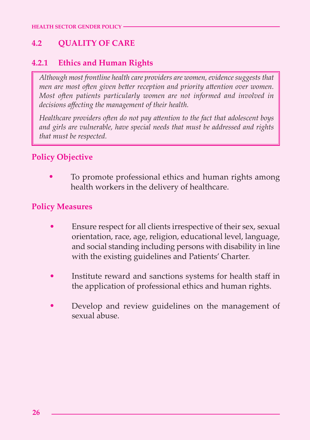#### **4.2 QUALITY OF CARE**

#### **4.2.1 Ethics and Human Rights**

*Although most frontline health care providers are women, evidence suggests that men are most often given better reception and priority attention over women. Most often patients particularly women are not informed and involved in decisions affecting the management of their health.* 

Healthcare providers often do not pay attention to the fact that adolescent boys *and girls are vulnerable, have special needs that must be addressed and rights that must be respected.*

#### **Policy Objective**

To promote professional ethics and human rights among health workers in the delivery of healthcare. •

#### **Policy Measures**

- Ensure respect for all clients irrespective of their sex, sexual orientation, race, age, religion, educational level, language, and social standing including persons with disability in line with the existing guidelines and Patients' Charter. •
- Institute reward and sanctions systems for health staff in the application of professional ethics and human rights. •
- Develop and review guidelines on the management of sexual abuse. •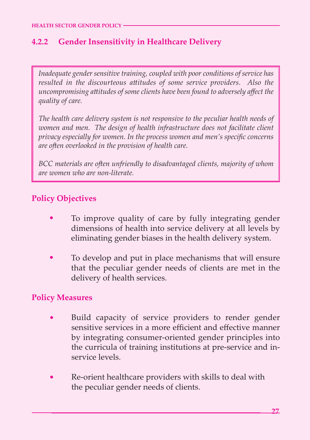#### **4.2.2 Gender Insensitivity in Healthcare Delivery**

*Inadequate gender sensitive training, coupled with poor conditions of service has resulted in the discourteous a2itudes of some service providers. Also the uncompromising a2itudes of some clients have been found to adversely affect the quality of care.* 

*The health care delivery system is not responsive to the peculiar health needs of women and men. The design of health infrastructure does not facilitate client privacy especially for women. In the process women and men's specific concerns are o1en overlooked in the provision of health care.*

*BCC materials are often unfriendly to disadvantaged clients, majority of whom are women who are non-literate.*

#### **Policy Objectives**

- To improve quality of care by fully integrating gender dimensions of health into service delivery at all levels by eliminating gender biases in the health delivery system. •
- To develop and put in place mechanisms that will ensure that the peculiar gender needs of clients are met in the delivery of health services. •

#### **Policy Measures**

**36**

- Build capacity of service providers to render gender sensitive services in a more efficient and effective manner by integrating consumer-oriented gender principles into the curricula of training institutions at pre-service and inservice levels. •
- Re-orient healthcare providers with skills to deal with the peculiar gender needs of clients. •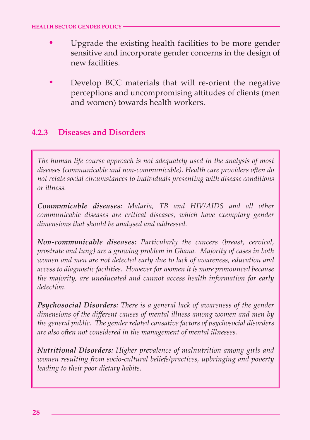- Upgrade the existing health facilities to be more gender sensitive and incorporate gender concerns in the design of new facilities. •
- Develop BCC materials that will re-orient the negative perceptions and uncompromising attitudes of clients (men and women) towards health workers. •

#### **4.2.3 Diseases and Disorders**

*The human life course approach is not adequately used in the analysis of most diseases (communicable and non-communicable). Health care providers o1en do not relate social circumstances to individuals presenting with disease conditions or illness.*

*Communicable diseases: Malaria, TB and HIV/AIDS and all other communicable diseases are critical diseases, which have exemplary gender dimensions that should be analysed and addressed.*

*Non-communicable diseases: Particularly the cancers (breast, cervical, prostrate and lung) are a growing problem in Ghana. Majority of cases in both women and men are not detected early due to lack of awareness, education and access to diagnostic facilities. However for women it is more pronounced because the majority, are uneducated and cannot access health information for early detection.* 

*Psychosocial Disorders: There is a general lack of awareness of the gender dimensions of the different causes of mental illness among women and men by the general public. The gender related causative factors of psychosocial disorders* are also often not considered in the management of mental illnesses.

*Nutritional Disorders: Higher prevalence of malnutrition among girls and women resulting from socio-cultural beliefs/practices, upbringing and poverty leading to their poor dietary habits.*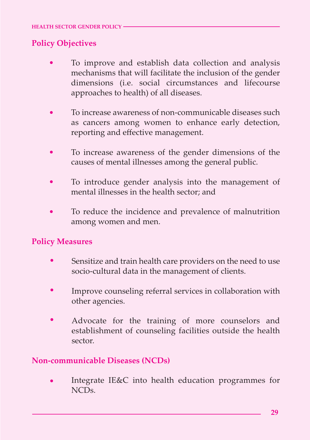#### **Policy Objectives**

- To improve and establish data collection and analysis mechanisms that will facilitate the inclusion of the gender dimensions (i.e. social circumstances and lifecourse approaches to health) of all diseases. •
- To increase awareness of non-communicable diseases such as cancers among women to enhance early detection, reporting and effective management. •
- To increase awareness of the gender dimensions of the causes of mental illnesses among the general public. •
- To introduce gender analysis into the management of mental illnesses in the health sector; and •
- To reduce the incidence and prevalence of malnutrition among women and men. •

#### **Policy Measures**

- Sensitize and train health care providers on the need to use socio-cultural data in the management of clients. •
- Improve counseling referral services in collaboration with other agencies. •
- Advocate for the training of more counselors and establishment of counseling facilities outside the health sector. •

#### **Non-communicable Diseases (NCDs)**

Integrate IE&C into health education programmes for NCDs. •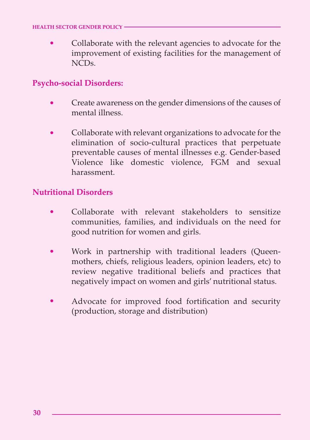Collaborate with the relevant agencies to advocate for the improvement of existing facilities for the management of  $NCDs$ •

#### **Psycho-social Disorders:**

- Create awareness on the gender dimensions of the causes of mental illness. •
- Collaborate with relevant organizations to advocate for the elimination of socio-cultural practices that perpetuate preventable causes of mental illnesses e.g. Gender-based Violence like domestic violence, FGM and sexual harassment. •

#### **Nutritional Disorders**

- Collaborate with relevant stakeholders to sensitize communities, families, and individuals on the need for good nutrition for women and girls. •
- Work in partnership with traditional leaders (Queenmothers, chiefs, religious leaders, opinion leaders, etc) to review negative traditional beliefs and practices that negatively impact on women and girls' nutritional status. •
- Advocate for improved food fortification and security (production, storage and distribution) •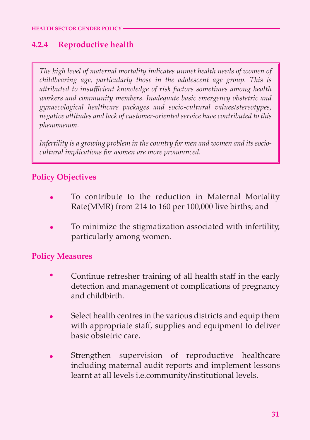#### **4.2.4 Reproductive health**

*The high level of maternal mortality indicates unmet health needs of women of childbearing age, particularly those in the adolescent age group. This is* attributed to insufficient knowledge of risk factors sometimes among health *workers and community members. Inadequate basic emergency obstetric and gynaecological healthcare packages and socio-cultural values/stereotypes, negative a2itudes and lack of customer-oriented service have contributed to this phenomenon.*

*Infertility is a growing problem in the country for men and women and its sociocultural implications for women are more pronounced.*

#### **Policy Objectives**

- To contribute to the reduction in Maternal Mortality Rate(MMR) from 214 to 160 per 100,000 live births; and •
- To minimize the stigmatization associated with infertility, particularly among women. •

#### **Policy Measures**

**40**

- Continue refresher training of all health staff in the early detection and management of complications of pregnancy and childbirth. •
- Select health centres in the various districts and equip them with appropriate staff, supplies and equipment to deliver basic obstetric care. •
- Strengthen supervision of reproductive healthcare including maternal audit reports and implement lessons learnt at all levels i.e.community/institutional levels. •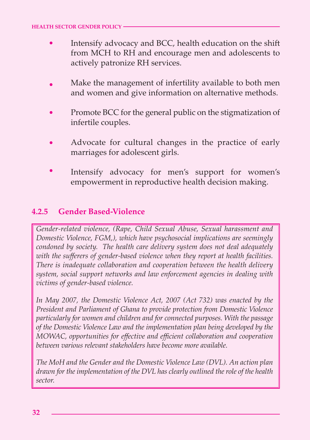- Intensify advocacy and BCC, health education on the shift from MCH to RH and encourage men and adolescents to actively patronize RH services. •
- Make the management of infertility available to both men and women and give information on alternative methods. •
- Promote BCC for the general public on the stigmatization of infertile couples. •
- Advocate for cultural changes in the practice of early marriages for adolescent girls. •
- Intensify advocacy for men's support for women's empowerment in reproductive health decision making. •

#### **4.2.5 Gender Based-Violence**

*Gender-related violence, (Rape, Child Sexual Abuse, Sexual harassment and Domestic Violence, FGM,), which have psychosocial implications are seemingly condoned by society. The health care delivery system does not deal adequately with the sufferers of gender-based violence when they report at health facilities. There is inadequate collaboration and cooperation between the health delivery system, social support networks and law enforcement agencies in dealing with victims of gender-based violence.* 

*In May 2007, the Domestic Violence Act, 2007 (Act 732) was enacted by the President and Parliament of Ghana to provide protection from Domestic Violence particularly for women and children and for connected purposes. With the passage of the Domestic Violence Law and the implementation plan being developed by the MOWAC, opportunities for effective and efficient collaboration and cooperation between various relevant stakeholders have become more available.* 

*The MoH and the Gender and the Domestic Violence Law (DVL). An action plan drawn for the implementation of the DVL has clearly outlined the role of the health sector.*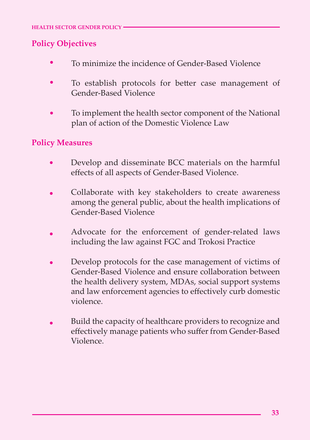#### **Policy Objectives**

- To minimize the incidence of Gender-Based Violence •
- To establish protocols for better case management of Gender-Based Violence •
- To implement the health sector component of the National plan of action of the Domestic Violence Law •

#### **Policy Measures**

**42**

- Develop and disseminate BCC materials on the harmful effects of all aspects of Gender-Based Violence. •
- Collaborate with key stakeholders to create awareness among the general public, about the health implications of Gender-Based Violence •
- Advocate for the enforcement of gender-related laws including the law against FGC and Trokosi Practice •
- Develop protocols for the case management of victims of Gender-Based Violence and ensure collaboration between the health delivery system, MDAs, social support systems and law enforcement agencies to effectively curb domestic violence. •
- Build the capacity of healthcare providers to recognize and effectively manage patients who suffer from Gender-Based Violence. •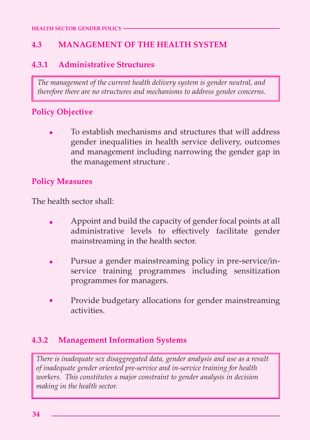#### **4.3 MANAGEMENT OF THE HEALTH SYSTEM**

#### **4.3.1 Administrative Structures**

*The management of the current health delivery system is gender neutral, and therefore there are no structures and mechanisms to address gender concerns.*

#### **Policy Objective**

To establish mechanisms and structures that will address gender inequalities in health service delivery, outcomes and management including narrowing the gender gap in the management structure . •

#### **Policy Measures**

The health sector shall:

- Appoint and build the capacity of gender focal points at all administrative levels to effectively facilitate gender mainstreaming in the health sector. •
- Pursue a gender mainstreaming policy in pre-service/inservice training programmes including sensitization programmes for managers. •
- Provide budgetary allocations for gender mainstreaming activities. •

#### **4.3.2 Management Information Systems**

*There is inadequate sex disaggregated data, gender analysis and use as a result of inadequate gender oriented pre-service and in-service training for health workers. This constitutes a major constraint to gender analysis in decision making in the health sector.*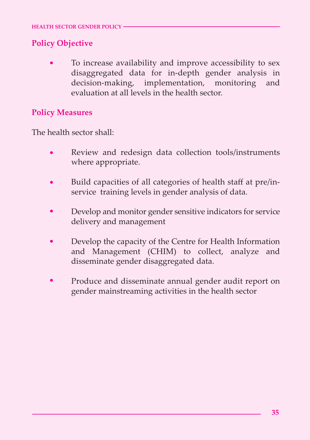#### **Policy Objective**

To increase availability and improve accessibility to sex disaggregated data for in-depth gender analysis in decision-making, implementation, monitoring and evaluation at all levels in the health sector. •

#### **Policy Measures**

**44**

The health sector shall:

- Review and redesign data collection tools/instruments where appropriate. •
- Build capacities of all categories of health staff at pre/inservice training levels in gender analysis of data. •
- Develop and monitor gender sensitive indicators for service delivery and management •
- Develop the capacity of the Centre for Health Information and Management (CHIM) to collect, analyze and disseminate gender disaggregated data. •
- Produce and disseminate annual gender audit report on gender mainstreaming activities in the health sector •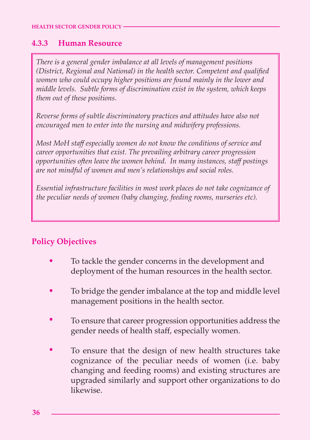#### **4.3.3 Human Resource**

*There is a general gender imbalance at all levels of management positions (District, Regional and National) in the health sector. Competent and qualified women who could occupy higher positions are found mainly in the lower and middle levels. Subtle forms of discrimination exist in the system, which keeps them out of these positions.*

*Reverse forms of subtle discriminatory practices and a2itudes have also not encouraged men to enter into the nursing and midwifery professions.*

*Most MoH staff especially women do not know the conditions of service and career opportunities that exist. The prevailing arbitrary career progression opportunities o1en leave the women behind. In many instances, staff postings are not mindful of women and men's relationships and social roles.* 

*Essential infrastructure facilities in most work places do not take cognizance of the peculiar needs of women (baby changing, feeding rooms, nurseries etc).* 

#### **Policy Objectives**

- To tackle the gender concerns in the development and deployment of the human resources in the health sector. •
- To bridge the gender imbalance at the top and middle level management positions in the health sector. •
- To ensure that career progression opportunities address the gender needs of health staff, especially women. •
- To ensure that the design of new health structures take cognizance of the peculiar needs of women (i.e. baby changing and feeding rooms) and existing structures are upgraded similarly and support other organizations to do likewise. •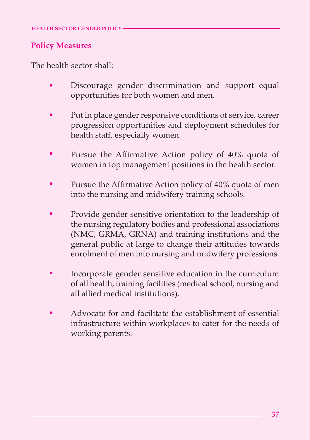#### **Policy Measures**

**46**

The health sector shall:

- Discourage gender discrimination and support equal opportunities for both women and men. •
- Put in place gender responsive conditions of service, career progression opportunities and deployment schedules for health staff, especially women. •
- Pursue the Affirmative Action policy of 40% quota of women in top management positions in the health sector. •
- Pursue the Affirmative Action policy of 40% quota of men into the nursing and midwifery training schools. •
- Provide gender sensitive orientation to the leadership of the nursing regulatory bodies and professional associations (NMC, GRMA, GRNA) and training institutions and the general public at large to change their attitudes towards enrolment of men into nursing and midwifery professions. •
- Incorporate gender sensitive education in the curriculum of all health, training facilities (medical school, nursing and all allied medical institutions). •
- Advocate for and facilitate the establishment of essential infrastructure within workplaces to cater for the needs of working parents. •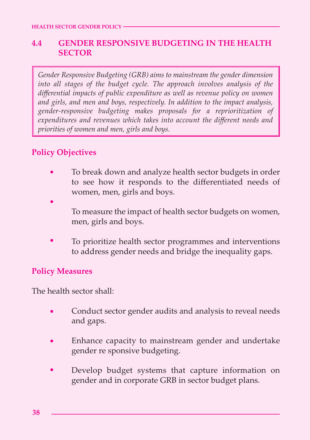#### **4.4 GENDER RESPONSIVE BUDGETING IN THE HEALTH SECTOR**

*Gender Responsive Budgeting (GRB) aims to mainstream the gender dimension into all stages of the budget cycle. The approach involves analysis of the differential impacts of public expenditure as well as revenue policy on women and girls, and men and boys, respectively. In addition to the impact analysis, gender-responsive budgeting makes proposals for a reprioritization of expenditures and revenues which takes into account the different needs and priorities of women and men, girls and boys.*

#### **Policy Objectives**

- To break down and analyze health sector budgets in order to see how it responds to the differentiated needs of women, men, girls and boys. •
- To measure the impact of health sector budgets on women, men, girls and boys. •
- To prioritize health sector programmes and interventions to address gender needs and bridge the inequality gaps. •

#### **Policy Measures**

The health sector shall:

- Conduct sector gender audits and analysis to reveal needs and gaps. •
- Enhance capacity to mainstream gender and undertake gender re sponsive budgeting. •
- Develop budget systems that capture information on gender and in corporate GRB in sector budget plans. •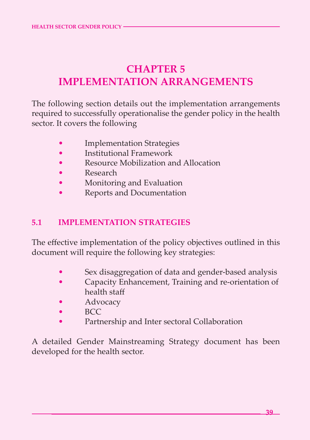## **CHAPTER 5 IMPLEMENTATION ARRANGEMENTS**

The following section details out the implementation arrangements required to successfully operationalise the gender policy in the health sector. It covers the following

- **Implementation Strategies**
- Institutional Framework
- Resource Mobilization and Allocation
- Research
- Monitoring and Evaluation
- Reports and Documentation

#### **5.1 IMPLEMENTATION STRATEGIES**

The effective implementation of the policy objectives outlined in this document will require the following key strategies:

- Sex disaggregation of data and gender-based analysis
- Capacity Enhancement, Training and re-orientation of health staff
- **Advocacy**
- BCC

**48**

Partnership and Inter sectoral Collaboration

A detailed Gender Mainstreaming Strategy document has been developed for the health sector.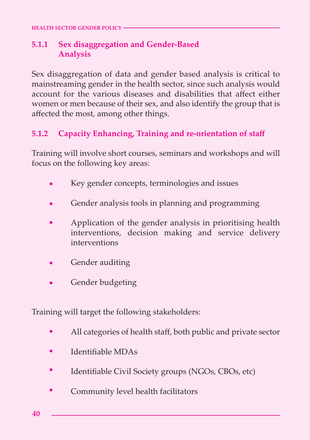#### **5.1.1 Sex disaggregation and Gender-Based Analysis**

Sex disaggregation of data and gender based analysis is critical to mainstreaming gender in the health sector, since such analysis would account for the various diseases and disabilities that affect either women or men because of their sex, and also identify the group that is affected the most, among other things.

#### **5.1.2 Capacity Enhancing, Training and re-orientation of staff**

Training will involve short courses, seminars and workshops and will focus on the following key areas:

- Key gender concepts, terminologies and issues •
- Gender analysis tools in planning and programming •
- Application of the gender analysis in prioritising health interventions, decision making and service delivery interventions •
- Gender auditing •
- Gender budgeting •

Training will target the following stakeholders:

- All categories of health staff, both public and private sector •
- Identifiable MDAs •
- Identifiable Civil Society groups (NGOs, CBOs, etc) •
- Community level health facilitators •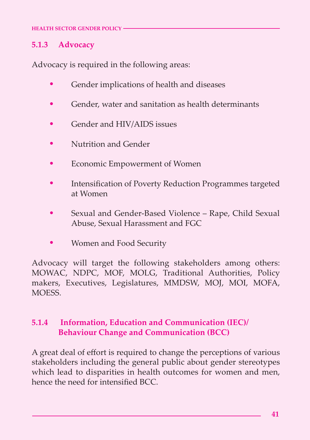#### **5.1.3 Advocacy**

**50**

Advocacy is required in the following areas:

- Gender implications of health and diseases •
- Gender, water and sanitation as health determinants •
- Gender and HIV/AIDS issues •
- Nutrition and Gender •
- Economic Empowerment of Women •
- Intensification of Poverty Reduction Programmes targeted at Women •
- Sexual and Gender-Based Violence Rape, Child Sexual Abuse, Sexual Harassment and FGC •
- Women and Food Security •

Advocacy will target the following stakeholders among others: MOWAC, NDPC, MOF, MOLG, Traditional Authorities, Policy makers, Executives, Legislatures, MMDSW, MOJ, MOI, MOFA, MOESS.

#### **5.1.4 Information, Education and Communication (IEC)/ Behaviour Change and Communication (BCC)**

A great deal of effort is required to change the perceptions of various stakeholders including the general public about gender stereotypes which lead to disparities in health outcomes for women and men, hence the need for intensified BCC.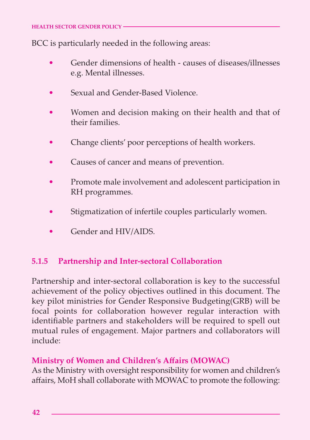BCC is particularly needed in the following areas:

- Gender dimensions of health causes of diseases/illnesses e.g. Mental illnesses. •
- Sexual and Gender-Based Violence. •
- Women and decision making on their health and that of their families. •
- Change clients' poor perceptions of health workers. •
- Causes of cancer and means of prevention. •
- Promote male involvement and adolescent participation in RH programmes. •
- Stigmatization of infertile couples particularly women. •
- Gender and HIV/AIDS. •

#### **5.1.5 Partnership and Inter-sectoral Collaboration**

Partnership and inter-sectoral collaboration is key to the successful achievement of the policy objectives outlined in this document. The key pilot ministries for Gender Responsive Budgeting(GRB) will be focal points for collaboration however regular interaction with identifiable partners and stakeholders will be required to spell out mutual rules of engagement. Major partners and collaborators will include:

#### **Ministry of Women and Children's Affairs (MOWAC)**

As the Ministry with oversight responsibility for women and children's affairs, MoH shall collaborate with MOWAC to promote the following: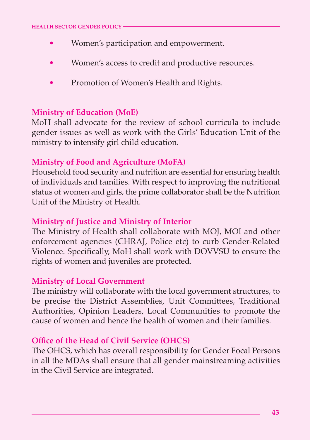- Women's participation and empowerment. •
- Women's access to credit and productive resources. •
- Promotion of Women's Health and Rights. •

#### **Ministry of Education (MoE)**

MoH shall advocate for the review of school curricula to include gender issues as well as work with the Girls' Education Unit of the ministry to intensify girl child education.

#### **Ministry of Food and Agriculture (MoFA)**

Household food security and nutrition are essential for ensuring health of individuals and families. With respect to improving the nutritional status of women and girls, the prime collaborator shall be the Nutrition Unit of the Ministry of Health.

#### **Ministry of Justice and Ministry of Interior**

The Ministry of Health shall collaborate with MOJ, MOI and other enforcement agencies (CHRAJ, Police etc) to curb Gender-Related Violence. Specifically, MoH shall work with DOVVSU to ensure the rights of women and juveniles are protected.

#### **Ministry of Local Government**

**52**

The ministry will collaborate with the local government structures, to be precise the District Assemblies, Unit Committees, Traditional Authorities, Opinion Leaders, Local Communities to promote the cause of women and hence the health of women and their families.

#### **Office of the Head of Civil Service (OHCS)**

The OHCS, which has overall responsibility for Gender Focal Persons in all the MDAs shall ensure that all gender mainstreaming activities in the Civil Service are integrated.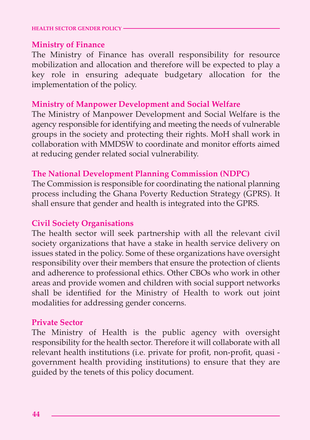#### **HEALTH SECTOR GENDER POLICY**

#### **Ministry of Finance**

The Ministry of Finance has overall responsibility for resource mobilization and allocation and therefore will be expected to play a key role in ensuring adequate budgetary allocation for the implementation of the policy.

#### **Ministry of Manpower Development and Social Welfare**

The Ministry of Manpower Development and Social Welfare is the agency responsible for identifying and meeting the needs of vulnerable groups in the society and protecting their rights. MoH shall work in collaboration with MMDSW to coordinate and monitor efforts aimed at reducing gender related social vulnerability.

#### **The National Development Planning Commission (NDPC)**

The Commission is responsible for coordinating the national planning process including the Ghana Poverty Reduction Strategy (GPRS). It shall ensure that gender and health is integrated into the GPRS.

#### **Civil Society Organisations**

The health sector will seek partnership with all the relevant civil society organizations that have a stake in health service delivery on issues stated in the policy. Some of these organizations have oversight responsibility over their members that ensure the protection of clients and adherence to professional ethics. Other CBOs who work in other areas and provide women and children with social support networks shall be identified for the Ministry of Health to work out joint modalities for addressing gender concerns.

#### **Private Sector**

The Ministry of Health is the public agency with oversight responsibility for the health sector. Therefore it will collaborate with all relevant health institutions (i.e. private for profit, non-profit, quasi government health providing institutions) to ensure that they are guided by the tenets of this policy document.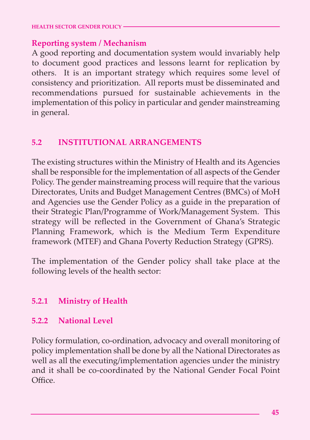#### **Reporting system / Mechanism**

A good reporting and documentation system would invariably help to document good practices and lessons learnt for replication by others. It is an important strategy which requires some level of consistency and prioritization. All reports must be disseminated and recommendations pursued for sustainable achievements in the implementation of this policy in particular and gender mainstreaming in general.

#### **5.2 INSTITUTIONAL ARRANGEMENTS**

The existing structures within the Ministry of Health and its Agencies shall be responsible for the implementation of all aspects of the Gender Policy. The gender mainstreaming process will require that the various Directorates, Units and Budget Management Centres (BMCs) of MoH and Agencies use the Gender Policy as a guide in the preparation of their Strategic Plan/Programme of Work/Management System. This strategy will be reflected in the Government of Ghana's Strategic Planning Framework, which is the Medium Term Expenditure framework (MTEF) and Ghana Poverty Reduction Strategy (GPRS).

The implementation of the Gender policy shall take place at the following levels of the health sector:

#### **5.2.1 Ministry of Health**

#### **5.2.2 National Level**

**54**

Policy formulation, co-ordination, advocacy and overall monitoring of policy implementation shall be done by all the National Directorates as well as all the executing/implementation agencies under the ministry and it shall be co-coordinated by the National Gender Focal Point Office.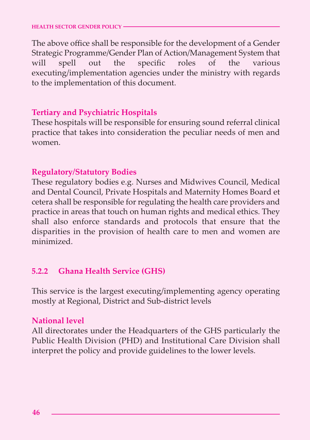The above office shall be responsible for the development of a Gender Strategic Programme/Gender Plan of Action/Management System that will spell out the specific roles of the various executing/implementation agencies under the ministry with regards to the implementation of this document.

#### **Tertiary and Psychiatric Hospitals**

These hospitals will be responsible for ensuring sound referral clinical practice that takes into consideration the peculiar needs of men and women.

#### **Regulatory/Statutory Bodies**

These regulatory bodies e.g. Nurses and Midwives Council, Medical and Dental Council, Private Hospitals and Maternity Homes Board et cetera shall be responsible for regulating the health care providers and practice in areas that touch on human rights and medical ethics. They shall also enforce standards and protocols that ensure that the disparities in the provision of health care to men and women are minimized.

#### **5.2.2 Ghana Health Service (GHS)**

This service is the largest executing/implementing agency operating mostly at Regional, District and Sub-district levels

#### **National level**

All directorates under the Headquarters of the GHS particularly the Public Health Division (PHD) and Institutional Care Division shall interpret the policy and provide guidelines to the lower levels.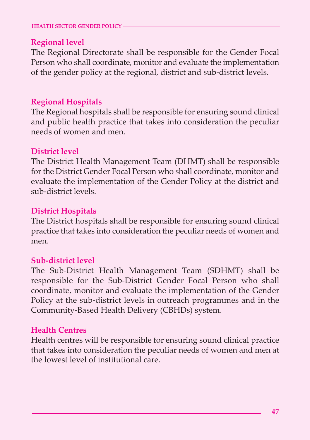#### **Regional level**

The Regional Directorate shall be responsible for the Gender Focal Person who shall coordinate, monitor and evaluate the implementation of the gender policy at the regional, district and sub-district levels.

#### **Regional Hospitals**

The Regional hospitals shall be responsible for ensuring sound clinical and public health practice that takes into consideration the peculiar needs of women and men.

#### **District level**

The District Health Management Team (DHMT) shall be responsible for the District Gender Focal Person who shall coordinate, monitor and evaluate the implementation of the Gender Policy at the district and sub-district levels.

#### **District Hospitals**

The District hospitals shall be responsible for ensuring sound clinical practice that takes into consideration the peculiar needs of women and men.

#### **Sub-district level**

The Sub-District Health Management Team (SDHMT) shall be responsible for the Sub-District Gender Focal Person who shall coordinate, monitor and evaluate the implementation of the Gender Policy at the sub-district levels in outreach programmes and in the Community-Based Health Delivery (CBHDs) system.

#### **Health Centres**

**56**

Health centres will be responsible for ensuring sound clinical practice that takes into consideration the peculiar needs of women and men at the lowest level of institutional care.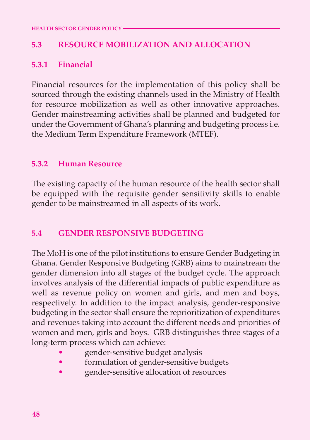#### **5.3 RESOURCE MOBILIZATION AND ALLOCATION**

#### **5.3.1 Financial**

Financial resources for the implementation of this policy shall be sourced through the existing channels used in the Ministry of Health for resource mobilization as well as other innovative approaches. Gender mainstreaming activities shall be planned and budgeted for under the Government of Ghana's planning and budgeting process i.e. the Medium Term Expenditure Framework (MTEF).

#### **5.3.2 Human Resource**

The existing capacity of the human resource of the health sector shall be equipped with the requisite gender sensitivity skills to enable gender to be mainstreamed in all aspects of its work.

#### **5.4 GENDER RESPONSIVE BUDGETING**

The MoH is one of the pilot institutions to ensure Gender Budgeting in Ghana. Gender Responsive Budgeting (GRB) aims to mainstream the gender dimension into all stages of the budget cycle. The approach involves analysis of the differential impacts of public expenditure as well as revenue policy on women and girls, and men and boys, respectively. In addition to the impact analysis, gender-responsive budgeting in the sector shall ensure the reprioritization of expenditures and revenues taking into account the different needs and priorities of women and men, girls and boys. GRB distinguishes three stages of a long-term process which can achieve:

- gender-sensitive budget analysis
- formulation of gender-sensitive budgets
- gender-sensitive allocation of resources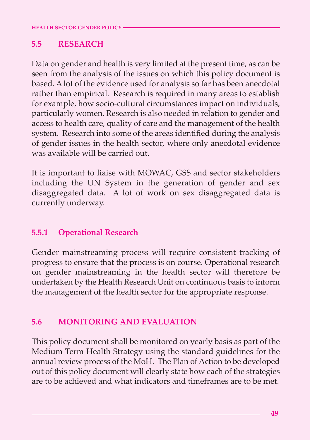#### **5.5 RESEARCH**

Data on gender and health is very limited at the present time, as can be seen from the analysis of the issues on which this policy document is based. A lot of the evidence used for analysis so far has been anecdotal rather than empirical. Research is required in many areas to establish for example, how socio-cultural circumstances impact on individuals, particularly women. Research is also needed in relation to gender and access to health care, quality of care and the management of the health system. Research into some of the areas identified during the analysis of gender issues in the health sector, where only anecdotal evidence was available will be carried out.

It is important to liaise with MOWAC, GSS and sector stakeholders including the UN System in the generation of gender and sex disaggregated data. A lot of work on sex disaggregated data is currently underway.

#### **5.5.1 Operational Research**

**58**

Gender mainstreaming process will require consistent tracking of progress to ensure that the process is on course. Operational research on gender mainstreaming in the health sector will therefore be undertaken by the Health Research Unit on continuous basis to inform the management of the health sector for the appropriate response.

#### **5.6 MONITORING AND EVALUATION**

This policy document shall be monitored on yearly basis as part of the Medium Term Health Strategy using the standard guidelines for the annual review process of the MoH. The Plan of Action to be developed out of this policy document will clearly state how each of the strategies are to be achieved and what indicators and timeframes are to be met.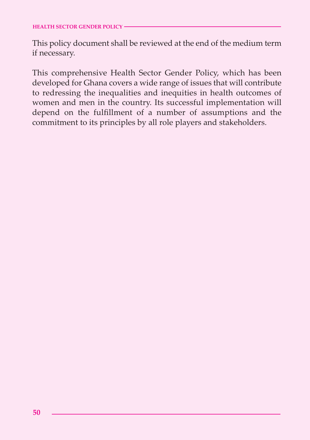This policy document shall be reviewed at the end of the medium term if necessary.

This comprehensive Health Sector Gender Policy, which has been developed for Ghana covers a wide range of issues that will contribute to redressing the inequalities and inequities in health outcomes of women and men in the country. Its successful implementation will depend on the fulfillment of a number of assumptions and the commitment to its principles by all role players and stakeholders.